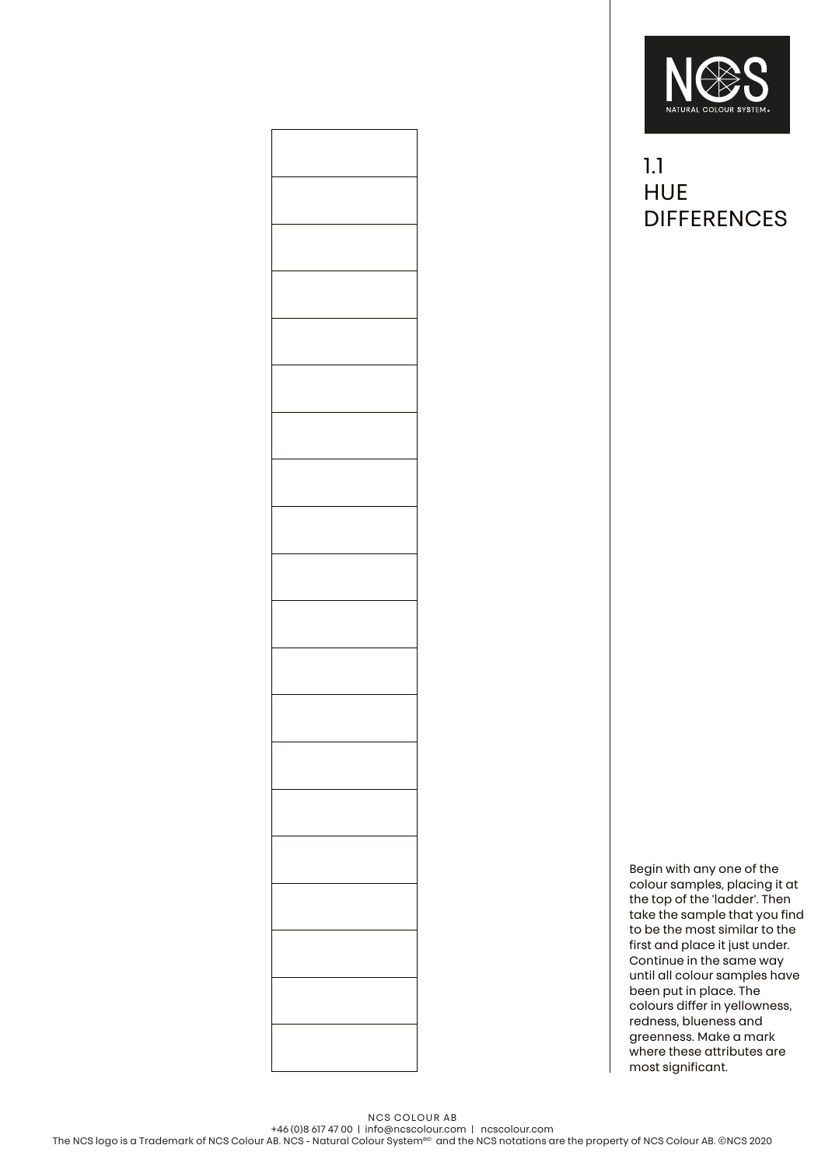

## 1.1 **HUE DIFFERENCES**

Begin with any one of the colour samples, placing it at the top of the 'ladder'. Then take the sample that you find to be the most similar to the first and place it just under. Continue in the same way until all colour samples have been put in place. The colours differ in yellowness, redness, blueness and greenness. Make a mark where these attributes are most significant.

+46 (0)8 617 47 00 | info@ncscolour.com | ncscolour.com The NCS logo is a Trademark of NCS Colour AB. NCS - Natural Colour System®© and the NCS notations are the property of NCS Colour AB. ©NCS 2020

NCS COLOUR AB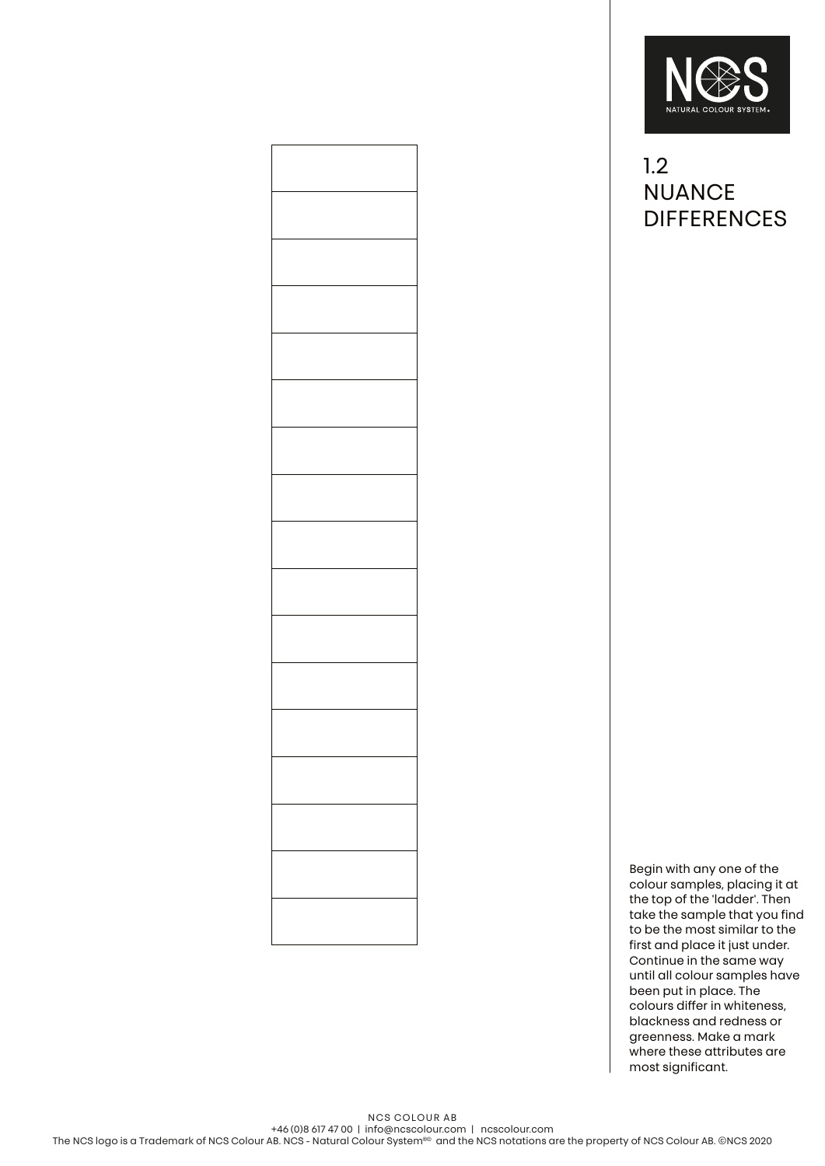

## 1.2 **NUANCE DIFFERENCES**

Begin with any one of the colour samples, placing it at the top of the 'ladder'. Then take the sample that you find to be the most similar to the first and place it just under. Continue in the same way until all colour samples have been put in place. The colours differ in whiteness, blackness and redness or greenness. Make a mark where these attributes are most significant.